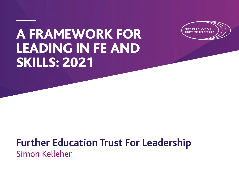# A FRAMEWORK FOR LEADING IN FE AND SKILLS: 2021



# **Further Education Trust For Leadership** Simon Kelleher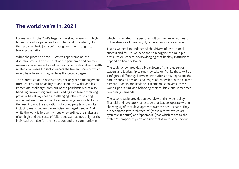#### **The world we're in: 2021**

For many in FE the 2020s began in quiet optimism, with high hopes for a white paper and a mooted 'end to austerity' for the sector as Boris Johnson's new government sought to level-up the nation.

While the promise of the FE White Paper remains, the disruption caused by the onset of the pandemic and counter measures have created social, economic, educational and health related challenges for sector leaders the like and scale of which would have been unimaginable as the decade began.

The current situation necessitates, not only crisis management from leaders, but an ability to anticipate the wider and less immediate challenges born out of the pandemic whilst also handling pre-existing pressures. Leading a college or training provider has always been a challenging, often frustrating and sometimes lonely role. It carries a huge responsibility for the learning and life aspirations of young people and adults, including many vulnerable and disadvantaged people. And while the work is frequently hugely rewarding, the stakes are often high and the costs of failure substantial, not only for the individual but also for the institution and the community in

which it is located. The personal toll can be heavy, not least in the absence of meaningful, targeted support or advice.

Just as we need to understand the drivers of institutional success and failure, we need too to recognise the multiple pressures on leaders, acknowledging that healthy institutions depend on healthy leaders.

The table below provides a breakdown of the roles senior leaders and leadership teams may take on. While these will be configured differently between institutions, they represent the core responsibilities and challenges of leadership in the current climate. Leaders and leadership teams must traverse these worlds, prioritising and balancing their multiple and sometimes competing demands.

The second table provides an overview of the wider policy, financial and regulatory landscape that leaders operate within, showing significant developments over the past decade. They are separated into 'architecture' (those reforms which are systemic in nature) and 'apparatus' (that which relate to the system's component parts or significant drivers of behaviour).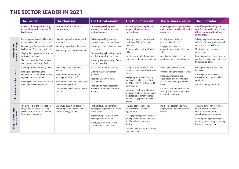### THE SECTOR LEADER IN 2021

|                                 | <b>The Leader</b>                                                                                                                                                                                                                                                                                 | <b>The Manager</b>                                                                                                                                                                                              | <b>The Educationalist</b>                                                                                                                                                                                                                                 | <b>The Public Servant</b>                                                                                                                                                                                                                                                                                                                                          | <b>The Business Leader</b>                                                                                                                                                                                                                                                    | <b>The Innovator</b>                                                                                                                                                                                                                                   |
|---------------------------------|---------------------------------------------------------------------------------------------------------------------------------------------------------------------------------------------------------------------------------------------------------------------------------------------------|-----------------------------------------------------------------------------------------------------------------------------------------------------------------------------------------------------------------|-----------------------------------------------------------------------------------------------------------------------------------------------------------------------------------------------------------------------------------------------------------|--------------------------------------------------------------------------------------------------------------------------------------------------------------------------------------------------------------------------------------------------------------------------------------------------------------------------------------------------------------------|-------------------------------------------------------------------------------------------------------------------------------------------------------------------------------------------------------------------------------------------------------------------------------|--------------------------------------------------------------------------------------------------------------------------------------------------------------------------------------------------------------------------------------------------------|
|                                 | <b>External: Shaping and reacting</b><br>to the wider world (concept of<br>Leaderhood)                                                                                                                                                                                                            | <b>Internal: Staff and financial</b><br>management                                                                                                                                                              | Developing teaching and<br>learning, curriculum and the<br>pastoral support                                                                                                                                                                               | Accountability to regulators,<br>budget holders and local<br>stakeholders                                                                                                                                                                                                                                                                                          | <b>Creating growth opportunities</b><br>and symbiotic relationships with<br>employers                                                                                                                                                                                         | Identifying and making the<br>case for innovation and driving<br>effective organisational and<br>sector change                                                                                                                                         |
| oncoming challenges:            | Delivering coordinated public service<br>/community pandemic responses<br>Responding to food poverty, mental<br>health issues, Black Lives Matter etc.<br>Shaping the organisation's role in the<br>post-pandemic world<br>The outcome of the FE white paper,<br>and response to the Augar Review | Maintaining a safe environment for<br>staff and learners<br>Adapting to pandemic disruption<br>Responding to increased demand                                                                                   | Delivering teaching, learning,<br>pastoral support and assessment<br>Providing opportunities for all who<br>need them<br>Guaranteeing high quality remote<br>and digital learning experiences<br>Providing a compensatory offer for<br>disrupted learning | Ensuring provision complies with<br>Health and Safety Executive<br>guidance<br>Delivering virus testing with the<br><b>NHS</b><br>Maintaining standards and budget<br>expectations during the pandemic                                                                                                                                                             | Finding work experience<br>placements for learners<br>Engaging employers in<br>apprenticeships, traineeships and<br>T-levels<br>Anticipating falling levels of<br>employer investment in training                                                                             | Taking imaginative approaches to<br>delivery - 'going digital', outreach<br>and reviving the 'highstreet'<br>Thinking beyond the current<br>emergency<br>Learning positive lessons from the<br>pandemic - seeing how differently<br>things can be done |
| Existing and persistent issues: | Adapting to frequent policy change<br>Finding and promoting the<br>organisation's 'place' in the locality,<br>region or national picture<br>Working collaboratively in a system<br>that incentivises competition                                                                                  | Managing a complex funding<br>system<br>Recruitment, retention and<br>shortages of skilled staff<br>Sector morale and industrial action<br>over pay and pensions<br>Performance management and CPD<br>for staff | English and maths attainment<br>Offering high quality careers<br>guidance<br>Keeping pace with industry<br>developments<br>Funding high need support for<br>learners with multiple barriers to<br>learning                                                | Taking on more responsibilities<br>such as numeracy and literacy, and<br>Prevent<br>Navigating a complex funding<br>and regulatory landscape: Ofsted,<br>the ESFA, IfATE, OFS/QAA, the FE<br>Commissioner<br>Managing a shifting landscape of<br>mergers, Area Based Reviews, and<br>the practical and motivational<br>impact of high profile provider<br>failures | Diversifying income streams<br>Understanding the needs of SMEs<br>Effectively marketing the<br>organisation and responding to<br>just-in time and bespoke training<br>needs<br>Resources and capital to ensure<br>training is in line with the latest<br>industry innovations | Finding the space to think and<br>innovate<br>Creating new partnerships,<br>specialisms and new models of<br>provision<br>Limited capacity to take risks                                                                                               |
| and prospects:                  | The civic role of the organisation<br>in light of new social ills: falling<br>levels of trust and social cohesion,<br>loneliness, poverty etc.                                                                                                                                                    | Continued budget limitations /<br>managing central, devolved and<br>private funding streams                                                                                                                     | Funding/developing emerging<br>pedagogical approaches in VR and<br>mixed reality<br>Implementing T-levels into the<br>existing mix of provision<br>Moving towards modular and<br>flexible models of delivery                                              | Tensions between public and<br>private sector character of<br>organisation<br>Managing misalignment between<br>funding incentives and ambitions<br>of LEPs and Local Industrial<br>Strategies<br>The role and capacity of voluntary<br>governing boards                                                                                                            | Developing partnerships with<br>employers in a difficult business<br>climate                                                                                                                                                                                                  | Adapting to the 4th Industrial<br>revolution: Labour market<br>disruption, automation,<br>casualisation, servicetisation<br>Catering for longer working lives -<br>requiring new thinking on lifelong<br>learning and social care                      |